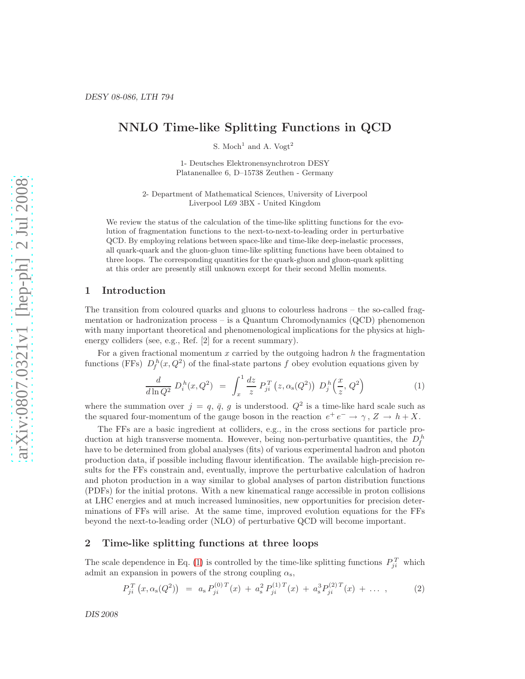# NNLO Time-like Splitting Functions in QCD

S. Moch<sup>1</sup> and A. Vogt<sup>2</sup>

1- Deutsches Elektronensynchrotron DESY Platanenallee 6, D–15738 Zeuthen - Germany

2- Department of Mathematical Sciences, University of Liverpool Liverpool L69 3BX - United Kingdom

We review the status of the calculation of the time-like splitting functions for the evolution of fragmentation functions to the next-to-next-to-leading order in perturbative QCD. By employing relations between space-like and time-like deep-inelastic processes, all quark-quark and the gluon-gluon time-like splitting functions have been obtained to three loops. The corresponding quantities for the quark-gluon and gluon-quark splitting at this order are presently still unknown except for their second Mellin moments.

#### 1 Introduction

The transition from coloured quarks and gluons to colourless hadrons – the so-called fragmentation or hadronization process – is a Quantum Chromodynamics (QCD) phenomenon with many important theoretical and phenomenological implications for the physics at highenergy colliders (see, e.g., Ref. [2] for a recent summary).

For a given fractional momentum  $x$  carried by the outgoing hadron  $h$  the fragmentation functions (FFs)  $D_f^h(x,Q^2)$  of the final-state partons f obey evolution equations given by

<span id="page-0-0"></span>
$$
\frac{d}{d\ln Q^2} D_i^h(x, Q^2) = \int_x^1 \frac{dz}{z} P_{ji}^T(z, \alpha_s(Q^2)) D_j^h\left(\frac{x}{z}, Q^2\right)
$$
 (1)

where the summation over  $j = q, \bar{q}, g$  is understood.  $Q^2$  is a time-like hard scale such as the squared four-momentum of the gauge boson in the reaction  $e^+e^- \rightarrow \gamma$ ,  $Z \rightarrow h+X$ .

The FFs are a basic ingredient at colliders, e.g., in the cross sections for particle production at high transverse momenta. However, being non-perturbative quantities, the  $D_f^h$ have to be determined from global analyses (fits) of various experimental hadron and photon production data, if possible including flavour identification. The available high-precision results for the FFs constrain and, eventually, improve the perturbative calculation of hadron and photon production in a way similar to global analyses of parton distribution functions (PDFs) for the initial protons. With a new kinematical range accessible in proton collisions at LHC energies and at much increased luminosities, new opportunities for precision determinations of FFs will arise. At the same time, improved evolution equations for the FFs beyond the next-to-leading order (NLO) of perturbative QCD will become important.

### 2 Time-like splitting functions at three loops

The scale dependence in Eq. [\(1\)](#page-0-0) is controlled by the time-like splitting functions  $P_{ji}^T$  which admit an expansion in powers of the strong coupling  $\alpha_s$ ,

<span id="page-0-1"></span>
$$
P_{ji}^T(x, \alpha_s(Q^2)) = a_s P_{ji}^{(0)T}(x) + a_s^2 P_{ji}^{(1)T}(x) + a_s^3 P_{ji}^{(2)T}(x) + \dots \,, \tag{2}
$$

DIS 2008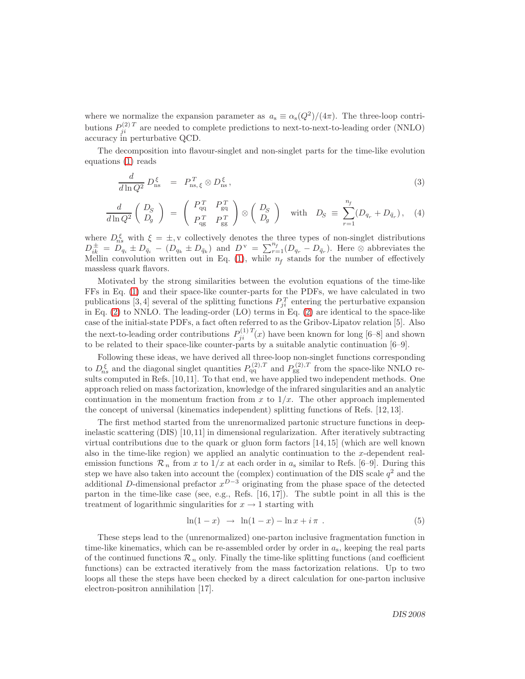where we normalize the expansion parameter as  $a_s \equiv \alpha_s(Q^2)/(4\pi)$ . The three-loop contributions  $P_{ji}^{(2)T}$  are needed to complete predictions to next-to-next-to-leading order (NNLO) accuracy in perturbative QCD.

The decomposition into flavour-singlet and non-singlet parts for the time-like evolution equations [\(1\)](#page-0-0) reads

$$
\frac{d}{d\ln Q^2} D_{\rm ns}^{\xi} = P_{\rm ns,\xi}^T \otimes D_{\rm ns}^{\xi},\tag{3}
$$

$$
\frac{d}{d\ln Q^2} \begin{pmatrix} D_S \\ D_g \end{pmatrix} = \begin{pmatrix} P_{qq}^T & P_{gq}^T \\ P_{qg}^T & P_{gg}^T \end{pmatrix} \otimes \begin{pmatrix} D_S \\ D_g \end{pmatrix} \text{ with } D_S \equiv \sum_{r=1}^{n_f} (D_{q_r} + D_{\bar{q}_r}), \quad (4)
$$

where  $D_{ns}^{\xi}$  with  $\xi = \pm$ , v collectively denotes the three types of non-singlet distributions  $D_{ik}^{\pm} = D_{qi} \pm D_{\bar{q}_i} - (D_{q_k} \pm D_{\bar{q}_k})$  and  $D^{\nu} = \sum_{r=1}^{n_f} (D_{q_r} - D_{\bar{q}_r})$ . Here  $\otimes$  abbreviates the Mellin convolution written out in Eq.  $(1)$ , while  $n_f$  stands for the number of effectively massless quark flavors.

Motivated by the strong similarities between the evolution equations of the time-like FFs in Eq. [\(1\)](#page-0-0) and their space-like counter-parts for the PDFs, we have calculated in two publications [3, 4] several of the splitting functions  $P_{ji}^T$  entering the perturbative expansion in Eq. [\(2\)](#page-0-1) to NNLO. The leading-order (LO) terms in Eq. [\(2\)](#page-0-1) are identical to the space-like case of the initial-state PDFs, a fact often referred to as the Gribov-Lipatov relation [5]. Also the next-to-leading order contributions  $P_{ji}^{(1)T}(x)$  have been known for long [6–8] and shown to be related to their space-like counter-parts by a suitable analytic continuation [6–9].

Following these ideas, we have derived all three-loop non-singlet functions corresponding to  $D_{ns}^{\xi}$  and the diagonal singlet quantities  $P_{qq}^{(2),T}$  and  $P_{gg}^{(2),T}$  from the space-like NNLO results computed in Refs. [10,11]. To that end, we have applied two independent methods. One approach relied on mass factorization, knowledge of the infrared singularities and an analytic continuation in the momentum fraction from x to  $1/x$ . The other approach implemented the concept of universal (kinematics independent) splitting functions of Refs. [12, 13].

The first method started from the unrenormalized partonic structure functions in deepinelastic scattering (DIS) [10,11] in dimensional regularization. After iteratively subtracting virtual contributions due to the quark or gluon form factors [14, 15] (which are well known also in the time-like region) we applied an analytic continuation to the  $x$ -dependent realemission functions  $\mathcal{R}_n$  from x to  $1/x$  at each order in  $a_s$  similar to Refs. [6–9]. During this step we have also taken into account the (complex) continuation of the DIS scale  $q^2$  and the additional D-dimensional prefactor  $x^{D-3}$  originating from the phase space of the detected parton in the time-like case (see, e.g., Refs. [16, 17]). The subtle point in all this is the treatment of logarithmic singularities for  $x \to 1$  starting with

$$
\ln(1-x) \rightarrow \ln(1-x) - \ln x + i\pi . \tag{5}
$$

These steps lead to the (unrenormalized) one-parton inclusive fragmentation function in time-like kinematics, which can be re-assembled order by order in  $a_s$ , keeping the real parts of the continued functions  $\mathcal{R}_n$  only. Finally the time-like splitting functions (and coefficient functions) can be extracted iteratively from the mass factorization relations. Up to two loops all these the steps have been checked by a direct calculation for one-parton inclusive electron-positron annihilation [17].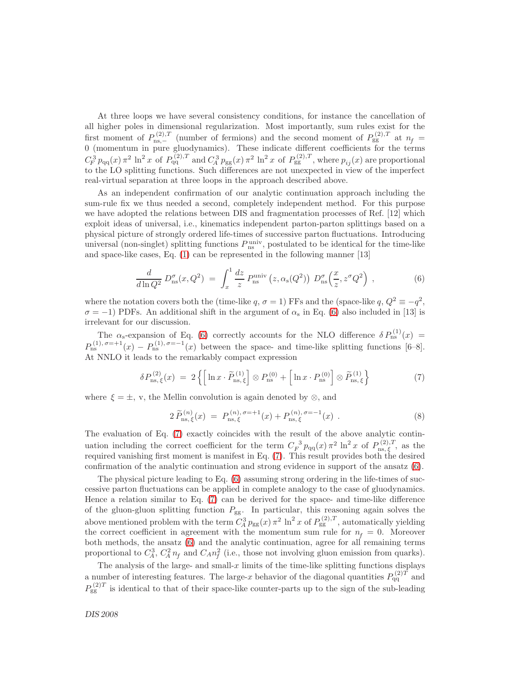At three loops we have several consistency conditions, for instance the cancellation of all higher poles in dimensional regularization. Most importantly, sum rules exist for the first moment of  $P_{\text{ns},-}^{(2),T}$  (number of fermions) and the second moment of  $P_{\text{gg}}^{(2),T}$  at  $n_f =$ 0 (momentum in pure gluodynamics). These indicate different coefficients for the terms  $C_F^3 p_{qq}(x) \pi^2 \ln^2 x$  of  $P_{qq}^{(2),T}$  and  $C_A^3 p_{gg}(x) \pi^2 \ln^2 x$  of  $P_{gg}^{(2),T}$ , where  $p_{ij}(x)$  are proportional to the LO splitting functions. Such differences are not unexpected in view of the imperfect real-virtual separation at three loops in the approach described above.

As an independent confirmation of our analytic continuation approach including the sum-rule fix we thus needed a second, completely independent method. For this purpose we have adopted the relations between DIS and fragmentation processes of Ref. [12] which exploit ideas of universal, i.e., kinematics independent parton-parton splittings based on a physical picture of strongly ordered life-times of successive parton fluctuations. Introducing universal (non-singlet) splitting functions  $P_{\text{ns}}^{\text{univ}}$ , postulated to be identical for the time-like and space-like cases, Eq. [\(1\)](#page-0-0) can be represented in the following manner [13]

<span id="page-2-0"></span>
$$
\frac{d}{d\ln Q^2} D_{\rm ns}^\sigma(x, Q^2) = \int_x^1 \frac{dz}{z} P_{\rm ns}^{\rm univ} (z, \alpha_{\rm s}(Q^2)) D_{\rm ns}^\sigma \left(\frac{x}{z}, z^\sigma Q^2\right) ,\qquad (6)
$$

where the notation covers both the (time-like q,  $\sigma = 1$ ) FFs and the (space-like q,  $Q^2 \equiv -q^2$ ,  $\sigma = -1$ ) PDFs. An additional shift in the argument of  $\alpha_s$  in Eq. [\(6\)](#page-2-0) also included in [13] is irrelevant for our discussion.

The  $\alpha_s$ -expansion of Eq. [\(6\)](#page-2-0) correctly accounts for the NLO difference  $\delta P_{\rm ns}^{(1)}(x)$  =  $P_{\rm ns}^{(1),\,\sigma=+1}(x)-P_{\rm ns}^{(1),\,\sigma=-1}(x)$  between the space- and time-like splitting functions [6–8]. At NNLO it leads to the remarkably compact expression

<span id="page-2-1"></span>
$$
\delta P_{\rm ns,\,\xi}^{(2)}(x) = 2 \left\{ \left[ \ln x \cdot \widetilde{P}_{\rm ns,\,\xi}^{(1)} \right] \otimes P_{\rm ns}^{(0)} + \left[ \ln x \cdot P_{\rm ns}^{(0)} \right] \otimes \widetilde{P}_{\rm ns,\,\xi}^{(1)} \right\} \tag{7}
$$

where  $\xi = \pm$ , v, the Mellin convolution is again denoted by ⊗, and

$$
2\,\widetilde{P}_{\rm ns,\,\xi}^{(n)}(x) \;=\; P_{\rm ns,\,\xi}^{(n),\,\sigma=+1}(x) + P_{\rm ns,\,\xi}^{(n),\,\sigma=-1}(x) \,\,.
$$
\n(8)

The evaluation of Eq. [\(7\)](#page-2-1) exactly coincides with the result of the above analytic continuation including the correct coefficient for the term  $C_F^{-3} p_{qq}(x) \pi^2 \ln^2 x$  of  $P_{\text{ns}, \xi}^{(2),T}$ , as the required vanishing first moment is manifest in Eq. [\(7\)](#page-2-1). This result provides both the desired confirmation of the analytic continuation and strong evidence in support of the ansatz [\(6\)](#page-2-0).

The physical picture leading to Eq. [\(6\)](#page-2-0) assuming strong ordering in the life-times of successive parton fluctuations can be applied in complete analogy to the case of gluodynamics. Hence a relation similar to Eq. [\(7\)](#page-2-1) can be derived for the space- and time-like difference of the gluon-gluon splitting function  $P_{gg}$ . In particular, this reasoning again solves the above mentioned problem with the term  $C_A^3 p_{gg}(x) \pi^2 \ln^2 x$  of  $P_{gg}^{(2),T}$ , automatically yielding the correct coefficient in agreement with the momentum sum rule for  $n_f = 0$ . Moreover both methods, the ansatz [\(6\)](#page-2-0) and the analytic continuation, agree for all remaining terms proportional to  $C_A^3$ ,  $C_A^2 n_f$  and  $C_A n_f^2$  (i.e., those not involving gluon emission from quarks).

The analysis of the large- and small-x limits of the time-like splitting functions displays a number of interesting features. The large-x behavior of the diagonal quantities  $P_{qq}^{(2)T}$  and  $P_{gg}^{(2)T}$  is identical to that of their space-like counter-parts up to the sign of the sub-leading